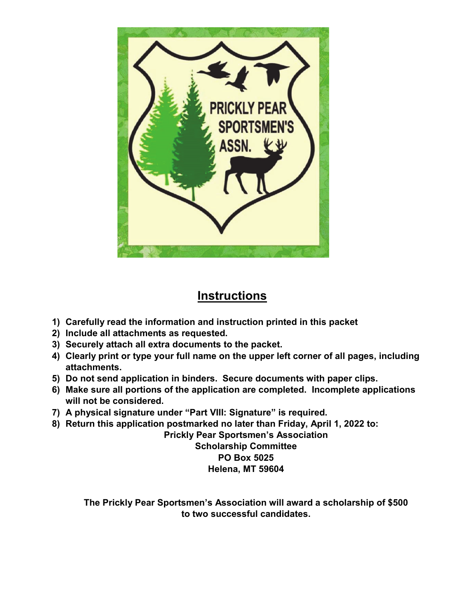

# **Instructions**

- **1) Carefully read the information and instruction printed in this packet**
- **2) Include all attachments as requested.**
- **3) Securely attach all extra documents to the packet.**
- **4) Clearly print or type your full name on the upper left corner of all pages, including attachments.**
- **5) Do not send application in binders. Secure documents with paper clips.**
- **6) Make sure all portions of the application are completed. Incomplete applications will not be considered.**
- **7) A physical signature under "Part VIII: Signature" is required.**
- **8) Return this application postmarked no later than Friday, April 1, 2022 to:**

**Prickly Pear Sportsmen's Association Scholarship Committee** 

**PO Box 5025** 

**Helena, MT 59604** 

**The Prickly Pear Sportsmen's Association will award a scholarship of \$500 to two successful candidates.**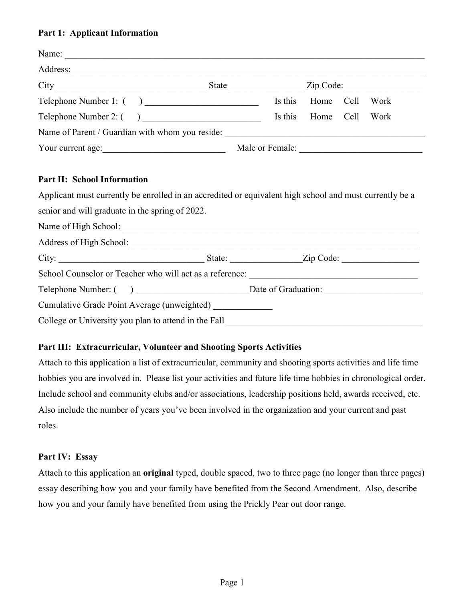## **Part 1: Applicant Information**

| Address: 2008. And the same state of the state of the state of the state of the state of the state of the state of the state of the state of the state of the state of the state of the state of the state of the state of the |                 |                |                        |
|--------------------------------------------------------------------------------------------------------------------------------------------------------------------------------------------------------------------------------|-----------------|----------------|------------------------|
|                                                                                                                                                                                                                                |                 |                | $\mathsf{Zip Code:}\_$ |
| Telephone Number 1: ()                                                                                                                                                                                                         | Is this         | Home Cell      | Work                   |
| Telephone Number 2: $\begin{pmatrix} 0 & 1 \\ 0 & 1 \end{pmatrix}$                                                                                                                                                             | Is this         | Home Cell Work |                        |
|                                                                                                                                                                                                                                |                 |                |                        |
| Your current age:                                                                                                                                                                                                              | Male or Female: |                |                        |

## **Part II: School Information**

Applicant must currently be enrolled in an accredited or equivalent high school and must currently be a senior and will graduate in the spring of 2022.

| City:                                                                                                            | State: Zip Code:                         |
|------------------------------------------------------------------------------------------------------------------|------------------------------------------|
|                                                                                                                  |                                          |
|                                                                                                                  | Telephone Number: () Date of Graduation: |
| Cumulative Grade Point Average (unweighted)                                                                      |                                          |
| College or University you plan to attend in the Fall <b>College of University you plan to attend in the Fall</b> |                                          |

## **Part III: Extracurricular, Volunteer and Shooting Sports Activities**

Attach to this application a list of extracurricular, community and shooting sports activities and life time hobbies you are involved in. Please list your activities and future life time hobbies in chronological order. Include school and community clubs and/or associations, leadership positions held, awards received, etc. Also include the number of years you've been involved in the organization and your current and past roles.

## **Part IV: Essay**

Attach to this application an **original** typed, double spaced, two to three page (no longer than three pages) essay describing how you and your family have benefited from the Second Amendment. Also, describe how you and your family have benefited from using the Prickly Pear out door range.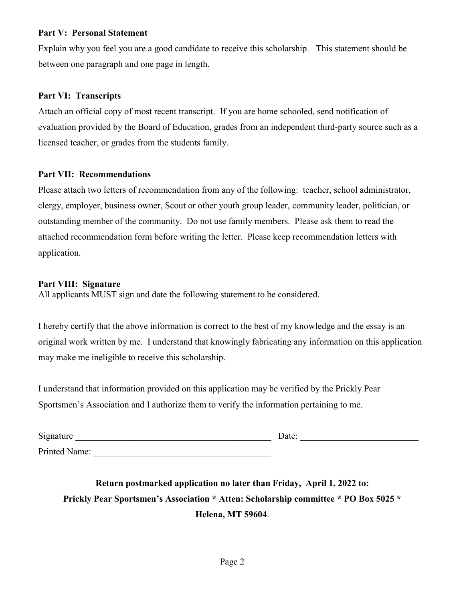#### **Part V: Personal Statement**

Explain why you feel you are a good candidate to receive this scholarship. This statement should be between one paragraph and one page in length.

#### **Part VI: Transcripts**

Attach an official copy of most recent transcript. If you are home schooled, send notification of evaluation provided by the Board of Education, grades from an independent third-party source such as a licensed teacher, or grades from the students family.

#### **Part VII: Recommendations**

Please attach two letters of recommendation from any of the following: teacher, school administrator, clergy, employer, business owner, Scout or other youth group leader, community leader, politician, or outstanding member of the community. Do not use family members. Please ask them to read the attached recommendation form before writing the letter. Please keep recommendation letters with application.

## **Part VIII: Signature**

All applicants MUST sign and date the following statement to be considered.

I hereby certify that the above information is correct to the best of my knowledge and the essay is an original work written by me. I understand that knowingly fabricating any information on this application may make me ineligible to receive this scholarship.

I understand that information provided on this application may be verified by the Prickly Pear Sportsmen's Association and I authorize them to verify the information pertaining to me.

| Signature     | Date: |
|---------------|-------|
| Printed Name: |       |

**Return postmarked application no later than Friday, April 1, 2022 to: Prickly Pear Sportsmen's Association \* Atten: Scholarship committee \* PO Box 5025 \* Helena, MT 59604**.